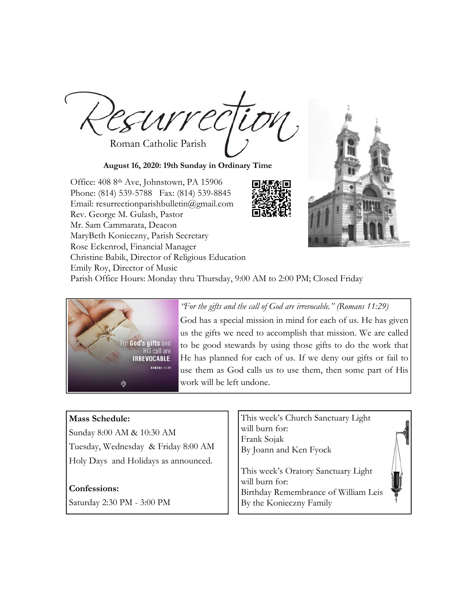Roman Catholic Parish

**August 16, 2020: 19th Sunday in Ordinary Time** 

Office: 408 8th Ave, Johnstown, PA 15906 Phone: (814) 539-5788 Fax: (814) 539-8845 Email: resurrectionparishbulletin@gmail.com Rev. George M. Gulash, Pastor Mr. Sam Cammarata, Deacon MaryBeth Konieczny, Parish Secretary Rose Eckenrod, Financial Manager Christine Babik, Director of Religious Education Emily Roy, Director of Music Parish Office Hours: Monday thru Thursday, 9:00 AM to 2:00 PM; Closed Friday



*"For the gifts and the call of God are irrevocable." (Romans 11:29)* 

God has a special mission in mind for each of us. He has given us the gifts we need to accomplish that mission. We are called to be good stewards by using those gifts to do the work that He has planned for each of us. If we deny our gifts or fail to use them as God calls us to use them, then some part of His work will be left undone.

# **Mass Schedule:**

Sunday 8:00 AM & 10:30 AM Tuesday, Wednesday & Friday 8:00 AM Holy Days and Holidays as announced.

# **Confessions:**

Saturday 2:30 PM - 3:00 PM

This week's Church Sanctuary Light will burn for: Frank Sojak By Joann and Ken Fyock

This week's Oratory Sanctuary Light will burn for: Birthday Remembrance of William Leis By the Konieczny Family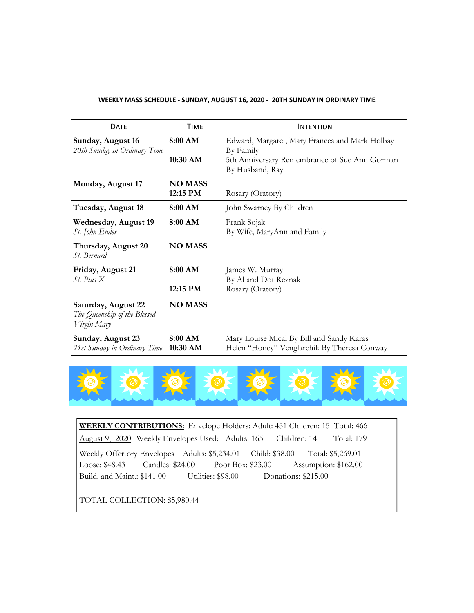## **WEEKLY MASS SCHEDULE ‐ SUNDAY, AUGUST 16, 2020 ‐ 20TH SUNDAY IN ORDINARY TIME**

| <b>DATE</b>                                                        | <b>TIME</b>                | <b>INTENTION</b>                                                                                                                |
|--------------------------------------------------------------------|----------------------------|---------------------------------------------------------------------------------------------------------------------------------|
| Sunday, August 16<br>20th Sunday in Ordinary Time                  | 8:00 AM<br>10:30 AM        | Edward, Margaret, Mary Frances and Mark Holbay<br>By Family<br>5th Anniversary Remembrance of Sue Ann Gorman<br>By Husband, Ray |
| Monday, August 17                                                  | <b>NO MASS</b><br>12:15 PM | Rosary (Oratory)                                                                                                                |
| Tuesday, August 18                                                 | 8:00 AM                    | John Swarney By Children                                                                                                        |
| <b>Wednesday, August 19</b><br>St. John Eudes                      | 8:00 AM                    | Frank Sojak<br>By Wife, MaryAnn and Family                                                                                      |
| Thursday, August 20<br>St. Bernard                                 | <b>NO MASS</b>             |                                                                                                                                 |
| Friday, August 21<br>$St.$ Pius $X$                                | 8:00 AM<br>12:15 PM        | James W. Murray<br>By Al and Dot Reznak<br>Rosary (Oratory)                                                                     |
| Saturday, August 22<br>The Queenship of the Blessed<br>Virgin Mary | <b>NO MASS</b>             |                                                                                                                                 |
| Sunday, August 23<br>21st Sunday in Ordinary Time                  | 8:00 AM<br>10:30 AM        | Mary Louise Mical By Bill and Sandy Karas<br>Helen "Honey" Venglarchik By Theresa Conway                                        |



**WEEKLY CONTRIBUTIONS:** Envelope Holders: Adult: 451 Children: 15 Total: 466 August 9, 2020 Weekly Envelopes Used: Adults: 165 Children: 14 Total: 179 Weekly Offertory Envelopes Adults: \$5,234.01 Child: \$38.00 Total: \$5,269.01 Loose: \$48.43 Candles: \$24.00 Poor Box: \$23.00 Assumption: \$162.00 Build. and Maint.: \$141.00 Utilities: \$98.00 Donations: \$215.00

TOTAL COLLECTION: \$5,980.44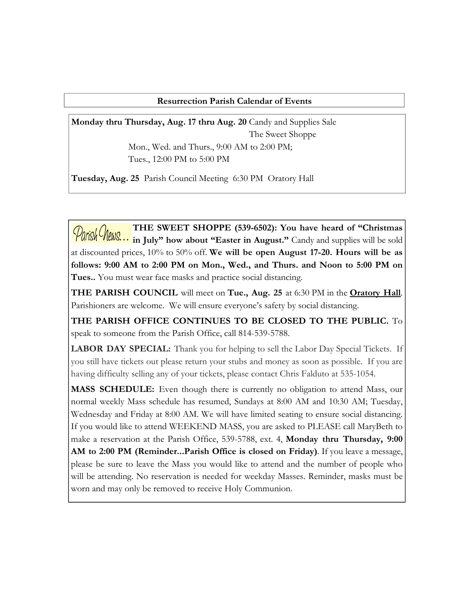# **Resurrection Parish Calendar of Events**

**Monday thru Thursday, Aug. 17 thru Aug. 20** Candy and Supplies Sale The Sweet Shoppe Mon., Wed. and Thurs., 9:00 AM to 2:00 PM;

Tues., 12:00 PM to 5:00 PM

**Tuesday, Aug. 25** Parish Council Meeting 6:30 PM Oratory Hall

**THE SWEET SHOPPE (539-6502): You have heard of "Christmas Parish Mews...** IT IS SWELL SHOOLS - Candy and supplies will be sold in July" how about "Easter in August." Candy and supplies will be as at discounted prices, 10% to 50% off. **We will be open August 17-20. Hours will be as follows: 9:00 AM to 2:00 PM on Mon., Wed., and Thurs. and Noon to 5:00 PM on Tues..** You must wear face masks and practice social distancing.

**THE PARISH COUNCIL** will meet on **Tue., Aug. 25** at 6:30 PM in the **Oratory Hall**. Parishioners are welcome. We will ensure everyone's safety by social distancing.

**THE PARISH OFFICE CONTINUES TO BE CLOSED TO THE PUBLIC.** To speak to someone from the Parish Office, call 814-539-5788.

**LABOR DAY SPECIAL:** Thank you for helping to sell the Labor Day Special Tickets. If you still have tickets out please return your stubs and money as soon as possible. If you are having difficulty selling any of your tickets, please contact Chris Falduto at 535-1054.

**MASS SCHEDULE:** Even though there is currently no obligation to attend Mass, our normal weekly Mass schedule has resumed, Sundays at 8:00 AM and 10:30 AM; Tuesday, Wednesday and Friday at 8:00 AM. We will have limited seating to ensure social distancing. If you would like to attend WEEKEND MASS, you are asked to PLEASE call MaryBeth to make a reservation at the Parish Office, 539-5788, ext. 4, **Monday thru Thursday, 9:00**  AM to 2:00 PM (Reminder...Parish Office is closed on Friday). If you leave a message, please be sure to leave the Mass you would like to attend and the number of people who will be attending. No reservation is needed for weekday Masses. Reminder, masks must be worn and may only be removed to receive Holy Communion.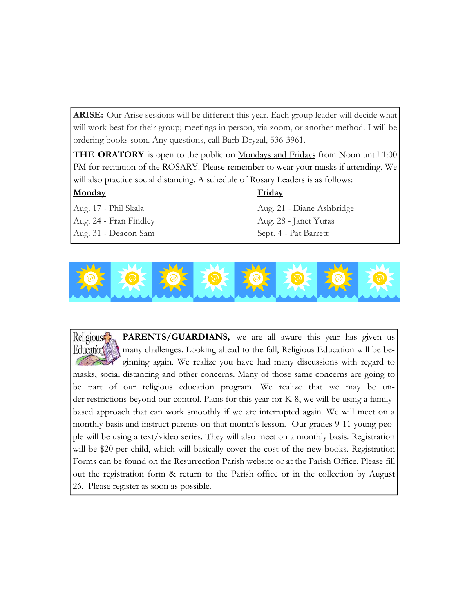ARISE: Our Arise sessions will be different this year. Each group leader will decide what will work best for their group; meetings in person, via zoom, or another method. I will be ordering books soon. Any questions, call Barb Dryzal, 536-3961.

**THE ORATORY** is open to the public on Mondays and Fridays from Noon until 1:00 PM for recitation of the ROSARY. Please remember to wear your masks if attending. We will also practice social distancing. A schedule of Rosary Leaders is as follows:

# **Monday Friday**

Aug. 24 - Fran Findley Aug. 28 - Janet Yuras Aug. 31 - Deacon Sam Sept. 4 - Pat Barrett

Aug. 17 - Phil Skala Aug. 21 - Diane Ashbridge



PARENTS/GUARDIANS, we are all aware this year has given us Religious<sup>4</sup> many challenges. Looking ahead to the fall, Religious Education will be be-**Education** ginning again. We realize you have had many discussions with regard to masks, social distancing and other concerns. Many of those same concerns are going to be part of our religious education program. We realize that we may be under restrictions beyond our control. Plans for this year for K-8, we will be using a familybased approach that can work smoothly if we are interrupted again. We will meet on a monthly basis and instruct parents on that month's lesson. Our grades 9-11 young people will be using a text/video series. They will also meet on a monthly basis. Registration will be \$20 per child, which will basically cover the cost of the new books. Registration Forms can be found on the Resurrection Parish website or at the Parish Office. Please fill out the registration form & return to the Parish office or in the collection by August 26. Please register as soon as possible.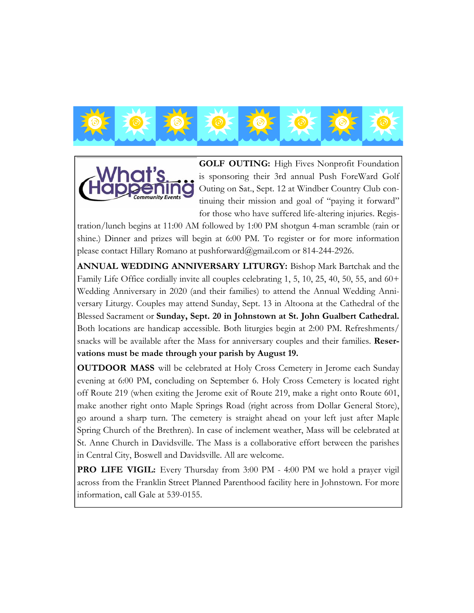



**GOLF OUTING:** High Fives Nonprofit Foundation is sponsoring their 3rd annual Push ForeWard Golf Outing on Sat., Sept. 12 at Windber Country Club continuing their mission and goal of "paying it forward" for those who have suffered life-altering injuries. Regis-

tration/lunch begins at 11:00 AM followed by 1:00 PM shotgun 4-man scramble (rain or shine.) Dinner and prizes will begin at 6:00 PM. To register or for more information please contact Hillary Romano at pushforward@gmail.com or 814-244-2926.

**ANNUAL WEDDING ANNIVERSARY LITURGY:** Bishop Mark Bartchak and the Family Life Office cordially invite all couples celebrating 1, 5, 10, 25, 40, 50, 55, and 60+ Wedding Anniversary in 2020 (and their families) to attend the Annual Wedding Anniversary Liturgy. Couples may attend Sunday, Sept. 13 in Altoona at the Cathedral of the Blessed Sacrament or **Sunday, Sept. 20 in Johnstown at St. John Gualbert Cathedral.**  Both locations are handicap accessible. Both liturgies begin at 2:00 PM. Refreshments/ snacks will be available after the Mass for anniversary couples and their families. **Reservations must be made through your parish by August 19.**

**OUTDOOR MASS** will be celebrated at Holy Cross Cemetery in Jerome each Sunday evening at 6:00 PM, concluding on September 6. Holy Cross Cemetery is located right off Route 219 (when exiting the Jerome exit of Route 219, make a right onto Route 601, make another right onto Maple Springs Road (right across from Dollar General Store), go around a sharp turn. The cemetery is straight ahead on your left just after Maple Spring Church of the Brethren). In case of inclement weather, Mass will be celebrated at St. Anne Church in Davidsville. The Mass is a collaborative effort between the parishes in Central City, Boswell and Davidsville. All are welcome.

**PRO LIFE VIGIL:** Every Thursday from 3:00 PM - 4:00 PM we hold a prayer vigil across from the Franklin Street Planned Parenthood facility here in Johnstown. For more information, call Gale at 539-0155.